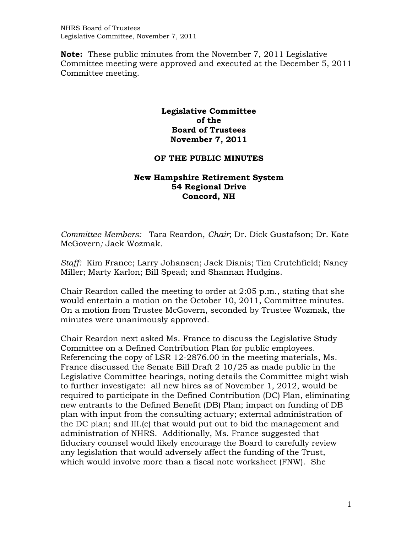**Note:** These public minutes from the November 7, 2011 Legislative Committee meeting were approved and executed at the December 5, 2011 Committee meeting.

## **Legislative Committee of the Board of Trustees November 7, 2011**

## **OF THE PUBLIC MINUTES**

## **New Hampshire Retirement System 54 Regional Drive Concord, NH**

*Committee Members:* Tara Reardon, *Chair*; Dr. Dick Gustafson; Dr. Kate McGovern*;* Jack Wozmak*.* 

*Staff:* Kim France; Larry Johansen; Jack Dianis; Tim Crutchfield; Nancy Miller; Marty Karlon; Bill Spead; and Shannan Hudgins.

Chair Reardon called the meeting to order at 2:05 p.m., stating that she would entertain a motion on the October 10, 2011, Committee minutes. On a motion from Trustee McGovern, seconded by Trustee Wozmak, the minutes were unanimously approved.

Chair Reardon next asked Ms. France to discuss the Legislative Study Committee on a Defined Contribution Plan for public employees. Referencing the copy of LSR 12-2876.00 in the meeting materials, Ms. France discussed the Senate Bill Draft 2 10/25 as made public in the Legislative Committee hearings, noting details the Committee might wish to further investigate: all new hires as of November 1, 2012, would be required to participate in the Defined Contribution (DC) Plan, eliminating new entrants to the Defined Benefit (DB) Plan; impact on funding of DB plan with input from the consulting actuary; external administration of the DC plan; and III.(c) that would put out to bid the management and administration of NHRS. Additionally, Ms. France suggested that fiduciary counsel would likely encourage the Board to carefully review any legislation that would adversely affect the funding of the Trust, which would involve more than a fiscal note worksheet (FNW). She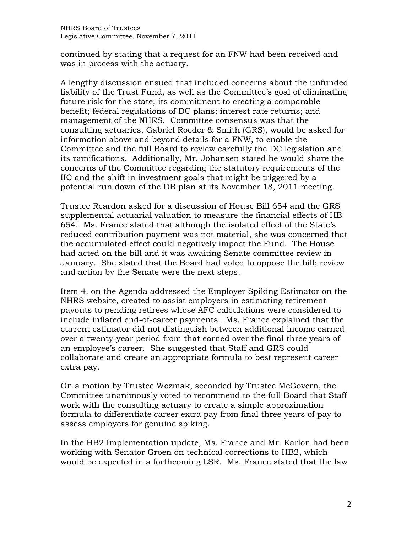continued by stating that a request for an FNW had been received and was in process with the actuary.

A lengthy discussion ensued that included concerns about the unfunded liability of the Trust Fund, as well as the Committee's goal of eliminating future risk for the state; its commitment to creating a comparable benefit; federal regulations of DC plans; interest rate returns; and management of the NHRS. Committee consensus was that the consulting actuaries, Gabriel Roeder & Smith (GRS), would be asked for information above and beyond details for a FNW, to enable the Committee and the full Board to review carefully the DC legislation and its ramifications. Additionally, Mr. Johansen stated he would share the concerns of the Committee regarding the statutory requirements of the IIC and the shift in investment goals that might be triggered by a potential run down of the DB plan at its November 18, 2011 meeting.

Trustee Reardon asked for a discussion of House Bill 654 and the GRS supplemental actuarial valuation to measure the financial effects of HB 654. Ms. France stated that although the isolated effect of the State's reduced contribution payment was not material, she was concerned that the accumulated effect could negatively impact the Fund. The House had acted on the bill and it was awaiting Senate committee review in January. She stated that the Board had voted to oppose the bill; review and action by the Senate were the next steps.

Item 4. on the Agenda addressed the Employer Spiking Estimator on the NHRS website, created to assist employers in estimating retirement payouts to pending retirees whose AFC calculations were considered to include inflated end-of-career payments. Ms. France explained that the current estimator did not distinguish between additional income earned over a twenty-year period from that earned over the final three years of an employee's career. She suggested that Staff and GRS could collaborate and create an appropriate formula to best represent career extra pay.

On a motion by Trustee Wozmak, seconded by Trustee McGovern, the Committee unanimously voted to recommend to the full Board that Staff work with the consulting actuary to create a simple approximation formula to differentiate career extra pay from final three years of pay to assess employers for genuine spiking.

In the HB2 Implementation update, Ms. France and Mr. Karlon had been working with Senator Groen on technical corrections to HB2, which would be expected in a forthcoming LSR. Ms. France stated that the law